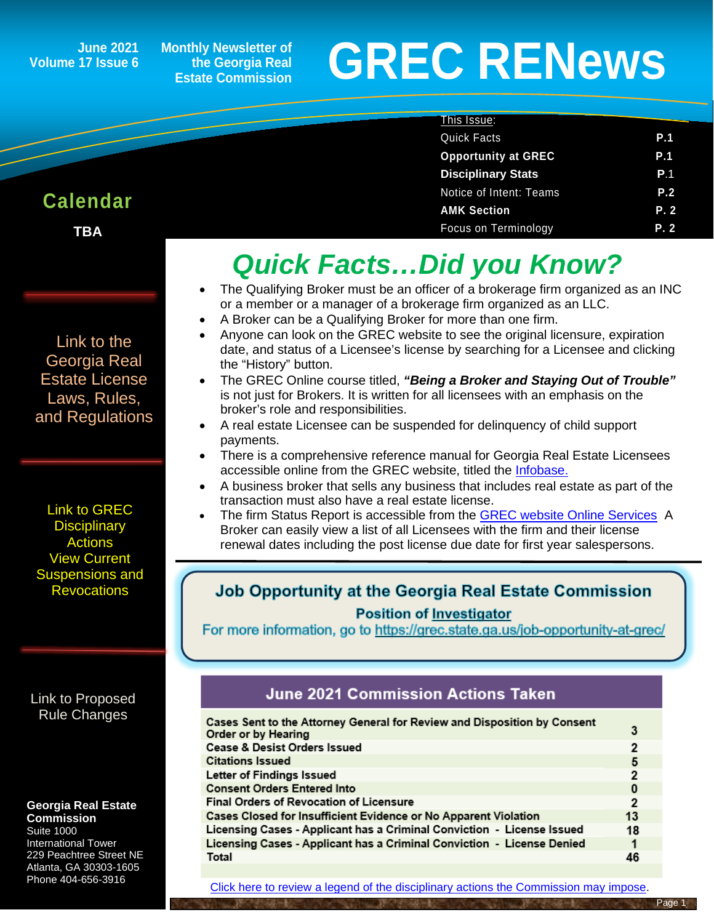#### **June 2021 Volume 17 Issue 6**

**Monthly Newsletter of the Georgia Real Estate Commission**

# **GREC RENewsGREC RENews**

| This Issue:                 |      |
|-----------------------------|------|
| <b>Quick Facts</b>          | P.1  |
| <b>Opportunity at GREC</b>  | P.1  |
| <b>Disciplinary Stats</b>   | P.1  |
| Notice of Intent: Teams     | P.2  |
| <b>AMK Section</b>          | P.2  |
| <b>Focus on Terminology</b> | P. 2 |

# *Quick Facts…Did you Know?*

- The Qualifying Broker must be an officer of a brokerage firm organized as an INC or a member or a manager of a brokerage firm organized as an LLC.
- A Broker can be a Qualifying Broker for more than one firm.
- Anyone can look on the GREC website to see the original licensure, expiration date, and status of a Licensee's license by searching for a Licensee and clicking the "History" button.
- The GREC Online course titled, *"Being a Broker and Staying Out of Trouble"* is not just for Brokers. It is written for all licensees with an emphasis on the broker's role and responsibilities.
- A real estate Licensee can be suspended for delinquency of child support payments.
- There is a comprehensive reference manual for Georgia Real Estate Licensees accessible online from the GREC website, titled the [Infobase.](https://grec.state.ga.us/information-research/infobase-main/)
- A business broker that sells any business that includes real estate as part of the transaction must also have a real estate license.
- The firm Status Report is accessible from the [GREC website Online Services](https://ata.grec.state.ga.us/) A Broker can easily view a list of all Licensees with the firm and their license renewal dates including the post license due date for first year salespersons.

## Job Opportunity at the Georgia Real Estate Commission **Position of Investigator**

For more information, go to https://grec.state.ga.us/job-opportunity-at-grec/

## **June 2021 Commission Actions Taken**

| Cases Sent to the Attorney General for Review and Disposition by Consent<br>Order or by Hearing | 3              |
|-------------------------------------------------------------------------------------------------|----------------|
| <b>Cease &amp; Desist Orders Issued</b>                                                         | 2              |
| <b>Citations Issued</b>                                                                         | 5              |
| Letter of Findings Issued                                                                       | $\overline{2}$ |
| <b>Consent Orders Entered Into</b>                                                              | 0              |
| <b>Final Orders of Revocation of Licensure</b>                                                  | $\mathbf{2}$   |
| Cases Closed for Insufficient Evidence or No Apparent Violation                                 | 13             |
| Licensing Cases - Applicant has a Criminal Conviction - License Issued                          | 18             |
| Licensing Cases - Applicant has a Criminal Conviction - License Denied                          | 1              |
| Total                                                                                           | 46             |
|                                                                                                 |                |

**Calendar** I

**TBA**

[Link to the](https://grec.state.ga.us/information-research/license-law/)  [Georgia Real](https://grec.state.ga.us/information-research/license-law/)  [Estate License](https://grec.state.ga.us/information-research/license-law/)  [Laws, Rules,](https://grec.state.ga.us/information-research/license-law/)  [and Regulations](https://grec.state.ga.us/information-research/license-law/)

[Link to GREC](http://www.grec.state.ga.us/about/resanctions.html)  **Disciplinary [Actions](http://www.grec.state.ga.us/about/resanctions.html)** View Current [Suspensions and](https://grec.state.ga.us/information-research/disciplinary-actions/real-estate/)  **Revocations** 

[Link to Proposed](https://grec.state.ga.us/proposed-rule-change/)  [Rule Changes](https://grec.state.ga.us/information-research/legislation/real-estate/)

#### **Georgia Real Estate Commission**

Suite 1000 International Tower 229 Peachtree Street NE Atlanta, GA 30303-1605 Phone 404-656-3916

[Click here to review a legend of the disciplinary actions the Commission may impose.](https://www.jmre.com/grec/GRECDisciplinaryTools.pdf)

Page 1